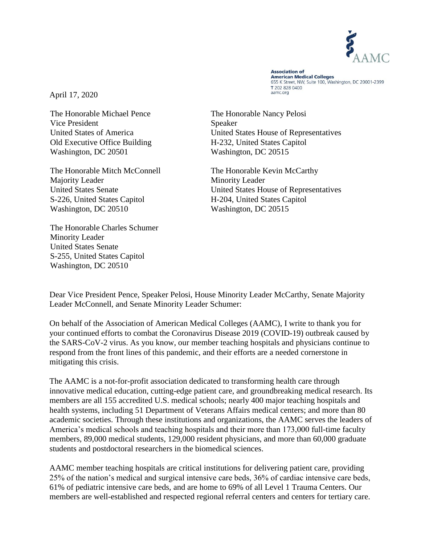

**Association of Association of**<br>American Medical Colleges 655 K Street, NW, Suite 100, Washington, DC 20001-2399 T 202 828 0400 aamc.org

April 17, 2020

The Honorable Michael Pence The Honorable Nancy Pelosi Vice President Speaker Old Executive Office Building H-232, United States Capitol Washington, DC 20501 Washington, DC 20515

The Honorable Mitch McConnell The Honorable Kevin McCarthy Majority Leader Minority Leader S-226, United States Capitol H-204, United States Capitol Washington, DC 20510 Washington, DC 20515

The Honorable Charles Schumer Minority Leader United States Senate S-255, United States Capitol Washington, DC 20510

United States of America United States House of Representatives

United States Senate United States House of Representatives

Dear Vice President Pence, Speaker Pelosi, House Minority Leader McCarthy, Senate Majority Leader McConnell, and Senate Minority Leader Schumer:

On behalf of the Association of American Medical Colleges (AAMC), I write to thank you for your continued efforts to combat the Coronavirus Disease 2019 (COVID-19) outbreak caused by the SARS-CoV-2 virus. As you know, our member teaching hospitals and physicians continue to respond from the front lines of this pandemic, and their efforts are a needed cornerstone in mitigating this crisis.

The AAMC is a not-for-profit association dedicated to transforming health care through innovative medical education, cutting-edge patient care, and groundbreaking medical research. Its members are all 155 accredited U.S. medical schools; nearly 400 major teaching hospitals and health systems, including 51 Department of Veterans Affairs medical centers; and more than 80 academic societies. Through these institutions and organizations, the AAMC serves the leaders of America's medical schools and teaching hospitals and their more than 173,000 full-time faculty members, 89,000 medical students, 129,000 resident physicians, and more than 60,000 graduate students and postdoctoral researchers in the biomedical sciences.

AAMC member teaching hospitals are critical institutions for delivering patient care, providing 25% of the nation's medical and surgical intensive care beds, 36% of cardiac intensive care beds, 61% of pediatric intensive care beds, and are home to 69% of all Level 1 Trauma Centers. Our members are well-established and respected regional referral centers and centers for tertiary care.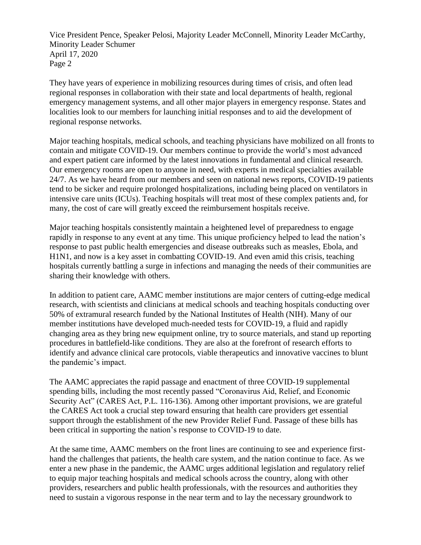They have years of experience in mobilizing resources during times of crisis, and often lead regional responses in collaboration with their state and local departments of health, regional emergency management systems, and all other major players in emergency response. States and localities look to our members for launching initial responses and to aid the development of regional response networks.

Major teaching hospitals, medical schools, and teaching physicians have mobilized on all fronts to contain and mitigate COVID-19. Our members continue to provide the world's most advanced and expert patient care informed by the latest innovations in fundamental and clinical research. Our emergency rooms are open to anyone in need, with experts in medical specialties available 24/7. As we have heard from our members and seen on national news reports, COVID-19 patients tend to be sicker and require prolonged hospitalizations, including being placed on ventilators in intensive care units (ICUs). Teaching hospitals will treat most of these complex patients and, for many, the cost of care will greatly exceed the reimbursement hospitals receive.

Major teaching hospitals consistently maintain a heightened level of preparedness to engage rapidly in response to any event at any time. This unique proficiency helped to lead the nation's response to past public health emergencies and disease outbreaks such as measles, Ebola, and H1N1, and now is a key asset in combatting COVID-19. And even amid this crisis, teaching hospitals currently battling a surge in infections and managing the needs of their communities are sharing their knowledge with others.

In addition to patient care, AAMC member institutions are major centers of cutting-edge medical research, with scientists and clinicians at medical schools and teaching hospitals conducting over 50% of extramural research funded by the National Institutes of Health (NIH). Many of our member institutions have developed much-needed tests for COVID-19, a fluid and rapidly changing area as they bring new equipment online, try to source materials, and stand up reporting procedures in battlefield-like conditions. They are also at the forefront of research efforts to identify and advance clinical care protocols, viable therapeutics and innovative vaccines to blunt the pandemic's impact.

The AAMC appreciates the rapid passage and enactment of three COVID-19 supplemental spending bills, including the most recently passed "Coronavirus Aid, Relief, and Economic Security Act" (CARES Act, P.L. 116-136). Among other important provisions, we are grateful the CARES Act took a crucial step toward ensuring that health care providers get essential support through the establishment of the new Provider Relief Fund. Passage of these bills has been critical in supporting the nation's response to COVID-19 to date.

At the same time, AAMC members on the front lines are continuing to see and experience firsthand the challenges that patients, the health care system, and the nation continue to face. As we enter a new phase in the pandemic, the AAMC urges additional legislation and regulatory relief to equip major teaching hospitals and medical schools across the country, along with other providers, researchers and public health professionals, with the resources and authorities they need to sustain a vigorous response in the near term and to lay the necessary groundwork to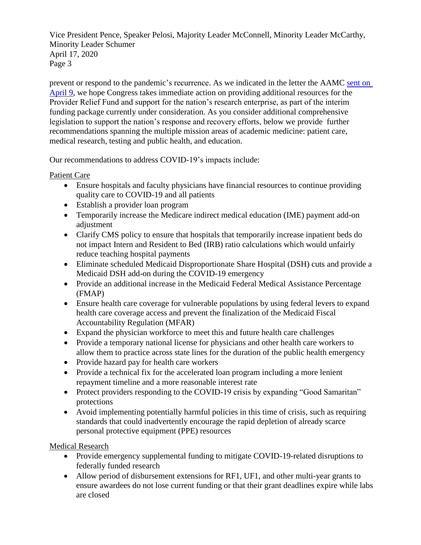prevent or respond to the pandemic's recurrence. As we indicated in the letter the AAMC [sent on](https://www.aamc.org/system/files/2020-04/ocomm-ogr-AAMC%20Letter%20to%20Congress%20on%20INTERIM%20Novel%20Coronavirus%20Response_4-9-2020_FINAL.pdf)  [April 9,](https://www.aamc.org/system/files/2020-04/ocomm-ogr-AAMC%20Letter%20to%20Congress%20on%20INTERIM%20Novel%20Coronavirus%20Response_4-9-2020_FINAL.pdf) we hope Congress takes immediate action on providing additional resources for the Provider Relief Fund and support for the nation's research enterprise, as part of the interim funding package currently under consideration. As you consider additional comprehensive legislation to support the nation's response and recovery efforts, below we provide further recommendations spanning the multiple mission areas of academic medicine: patient care, medical research, testing and public health, and education.

Our recommendations to address COVID-19's impacts include:

# Patient Care

- Ensure hospitals and faculty physicians have financial resources to continue providing quality care to COVID-19 and all patients
- Establish a provider loan program
- Temporarily increase the Medicare indirect medical education (IME) payment add-on adjustment
- Clarify CMS policy to ensure that hospitals that temporarily increase inpatient beds do not impact Intern and Resident to Bed (IRB) ratio calculations which would unfairly reduce teaching hospital payments
- Eliminate scheduled Medicaid Disproportionate Share Hospital (DSH) cuts and provide a Medicaid DSH add-on during the COVID-19 emergency
- Provide an additional increase in the Medicaid Federal Medical Assistance Percentage (FMAP)
- Ensure health care coverage for vulnerable populations by using federal levers to expand health care coverage access and prevent the finalization of the Medicaid Fiscal Accountability Regulation (MFAR)
- Expand the physician workforce to meet this and future health care challenges
- Provide a temporary national license for physicians and other health care workers to allow them to practice across state lines for the duration of the public health emergency
- Provide hazard pay for health care workers
- Provide a technical fix for the accelerated loan program including a more lenient repayment timeline and a more reasonable interest rate
- Protect providers responding to the COVID-19 crisis by expanding "Good Samaritan" protections
- Avoid implementing potentially harmful policies in this time of crisis, such as requiring standards that could inadvertently encourage the rapid depletion of already scarce personal protective equipment (PPE) resources

Medical Research

- Provide emergency supplemental funding to mitigate COVID-19-related disruptions to federally funded research
- Allow period of disbursement extensions for RF1, UF1, and other multi-year grants to ensure awardees do not lose current funding or that their grant deadlines expire while labs are closed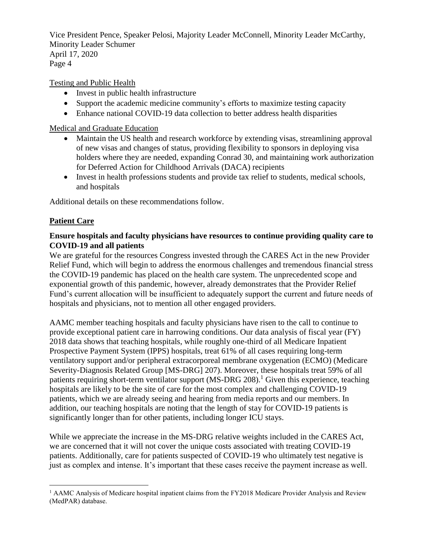Testing and Public Health

- Invest in public health infrastructure
- Support the academic medicine community's efforts to maximize testing capacity
- Enhance national COVID-19 data collection to better address health disparities

Medical and Graduate Education

- Maintain the US health and research workforce by extending visas, streamlining approval of new visas and changes of status, providing flexibility to sponsors in deploying visa holders where they are needed, expanding Conrad 30, and maintaining work authorization for Deferred Action for Childhood Arrivals (DACA) recipients
- Invest in health professions students and provide tax relief to students, medical schools, and hospitals

Additional details on these recommendations follow.

# **Patient Care**

 $\overline{a}$ 

## **Ensure hospitals and faculty physicians have resources to continue providing quality care to COVID-19 and all patients**

We are grateful for the resources Congress invested through the CARES Act in the new Provider Relief Fund, which will begin to address the enormous challenges and tremendous financial stress the COVID-19 pandemic has placed on the health care system. The unprecedented scope and exponential growth of this pandemic, however, already demonstrates that the Provider Relief Fund's current allocation will be insufficient to adequately support the current and future needs of hospitals and physicians, not to mention all other engaged providers.

AAMC member teaching hospitals and faculty physicians have risen to the call to continue to provide exceptional patient care in harrowing conditions. Our data analysis of fiscal year (FY) 2018 data shows that teaching hospitals, while roughly one-third of all Medicare Inpatient Prospective Payment System (IPPS) hospitals, treat 61% of all cases requiring long-term ventilatory support and/or peripheral extracorporeal membrane oxygenation (ECMO) (Medicare Severity-Diagnosis Related Group [MS-DRG] 207). Moreover, these hospitals treat 59% of all patients requiring short-term ventilator support  $(MS-DRG 208)^1$  Given this experience, teaching hospitals are likely to be the site of care for the most complex and challenging COVID-19 patients, which we are already seeing and hearing from media reports and our members. In addition, our teaching hospitals are noting that the length of stay for COVID-19 patients is significantly longer than for other patients, including longer ICU stays.

While we appreciate the increase in the MS-DRG relative weights included in the CARES Act, we are concerned that it will not cover the unique costs associated with treating COVID-19 patients. Additionally, care for patients suspected of COVID-19 who ultimately test negative is just as complex and intense. It's important that these cases receive the payment increase as well.

<sup>&</sup>lt;sup>1</sup> AAMC Analysis of Medicare hospital inpatient claims from the FY2018 Medicare Provider Analysis and Review (MedPAR) database.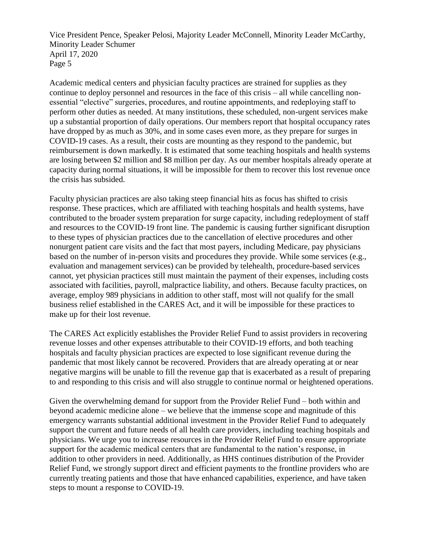Academic medical centers and physician faculty practices are strained for supplies as they continue to deploy personnel and resources in the face of this crisis – all while cancelling nonessential "elective" surgeries, procedures, and routine appointments, and redeploying staff to perform other duties as needed. At many institutions, these scheduled, non-urgent services make up a substantial proportion of daily operations. Our members report that hospital occupancy rates have dropped by as much as 30%, and in some cases even more, as they prepare for surges in COVID-19 cases. As a result, their costs are mounting as they respond to the pandemic, but reimbursement is down markedly. It is estimated that some teaching hospitals and health systems are losing between \$2 million and \$8 million per day. As our member hospitals already operate at capacity during normal situations, it will be impossible for them to recover this lost revenue once the crisis has subsided.

Faculty physician practices are also taking steep financial hits as focus has shifted to crisis response. These practices, which are affiliated with teaching hospitals and health systems, have contributed to the broader system preparation for surge capacity, including redeployment of staff and resources to the COVID-19 front line. The pandemic is causing further significant disruption to these types of physician practices due to the cancellation of elective procedures and other nonurgent patient care visits and the fact that most payers, including Medicare, pay physicians based on the number of in-person visits and procedures they provide. While some services (e.g., evaluation and management services) can be provided by telehealth, procedure-based services cannot, yet physician practices still must maintain the payment of their expenses, including costs associated with facilities, payroll, malpractice liability, and others. Because faculty practices, on average, employ 989 physicians in addition to other staff, most will not qualify for the small business relief established in the CARES Act, and it will be impossible for these practices to make up for their lost revenue.

The CARES Act explicitly establishes the Provider Relief Fund to assist providers in recovering revenue losses and other expenses attributable to their COVID-19 efforts, and both teaching hospitals and faculty physician practices are expected to lose significant revenue during the pandemic that most likely cannot be recovered. Providers that are already operating at or near negative margins will be unable to fill the revenue gap that is exacerbated as a result of preparing to and responding to this crisis and will also struggle to continue normal or heightened operations.

Given the overwhelming demand for support from the Provider Relief Fund – both within and beyond academic medicine alone – we believe that the immense scope and magnitude of this emergency warrants substantial additional investment in the Provider Relief Fund to adequately support the current and future needs of all health care providers, including teaching hospitals and physicians. We urge you to increase resources in the Provider Relief Fund to ensure appropriate support for the academic medical centers that are fundamental to the nation's response, in addition to other providers in need. Additionally, as HHS continues distribution of the Provider Relief Fund, we strongly support direct and efficient payments to the frontline providers who are currently treating patients and those that have enhanced capabilities, experience, and have taken steps to mount a response to COVID-19.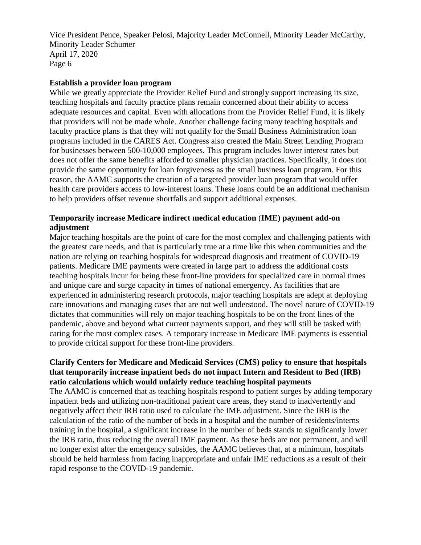#### **Establish a provider loan program**

While we greatly appreciate the Provider Relief Fund and strongly support increasing its size, teaching hospitals and faculty practice plans remain concerned about their ability to access adequate resources and capital. Even with allocations from the Provider Relief Fund, it is likely that providers will not be made whole. Another challenge facing many teaching hospitals and faculty practice plans is that they will not qualify for the Small Business Administration loan programs included in the CARES Act. Congress also created the Main Street Lending Program for businesses between 500-10,000 employees. This program includes lower interest rates but does not offer the same benefits afforded to smaller physician practices. Specifically, it does not provide the same opportunity for loan forgiveness as the small business loan program. For this reason, the AAMC supports the creation of a targeted provider loan program that would offer health care providers access to low-interest loans. These loans could be an additional mechanism to help providers offset revenue shortfalls and support additional expenses.

# **Temporarily increase Medicare indirect medical education** (**IME) payment add-on adjustment**

Major teaching hospitals are the point of care for the most complex and challenging patients with the greatest care needs, and that is particularly true at a time like this when communities and the nation are relying on teaching hospitals for widespread diagnosis and treatment of COVID-19 patients. Medicare IME payments were created in large part to address the additional costs teaching hospitals incur for being these front-line providers for specialized care in normal times and unique care and surge capacity in times of national emergency. As facilities that are experienced in administering research protocols, major teaching hospitals are adept at deploying care innovations and managing cases that are not well understood. The novel nature of COVID-19 dictates that communities will rely on major teaching hospitals to be on the front lines of the pandemic, above and beyond what current payments support, and they will still be tasked with caring for the most complex cases. A temporary increase in Medicare IME payments is essential to provide critical support for these front-line providers.

# **Clarify Centers for Medicare and Medicaid Services (CMS) policy to ensure that hospitals that temporarily increase inpatient beds do not impact Intern and Resident to Bed (IRB) ratio calculations which would unfairly reduce teaching hospital payments**

The AAMC is concerned that as teaching hospitals respond to patient surges by adding temporary inpatient beds and utilizing non-traditional patient care areas, they stand to inadvertently and negatively affect their IRB ratio used to calculate the IME adjustment. Since the IRB is the calculation of the ratio of the number of beds in a hospital and the number of residents/interns training in the hospital, a significant increase in the number of beds stands to significantly lower the IRB ratio, thus reducing the overall IME payment. As these beds are not permanent, and will no longer exist after the emergency subsides, the AAMC believes that, at a minimum, hospitals should be held harmless from facing inappropriate and unfair IME reductions as a result of their rapid response to the COVID-19 pandemic.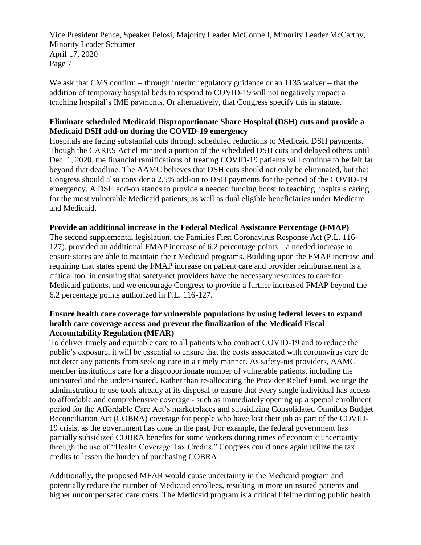We ask that CMS confirm – through interim regulatory guidance or an 1135 waiver – that the addition of temporary hospital beds to respond to COVID-19 will not negatively impact a teaching hospital's IME payments. Or alternatively, that Congress specify this in statute.

## **Eliminate scheduled Medicaid Disproportionate Share Hospital (DSH) cuts and provide a Medicaid DSH add-on during the COVID-19 emergency**

Hospitals are facing substantial cuts through scheduled reductions to Medicaid DSH payments. Though the CARES Act eliminated a portion of the scheduled DSH cuts and delayed others until Dec. 1, 2020, the financial ramifications of treating COVID-19 patients will continue to be felt far beyond that deadline. The AAMC believes that DSH cuts should not only be eliminated, but that Congress should also consider a 2.5% add-on to DSH payments for the period of the COVID-19 emergency. A DSH add-on stands to provide a needed funding boost to teaching hospitals caring for the most vulnerable Medicaid patients, as well as dual eligible beneficiaries under Medicare and Medicaid.

## **Provide an additional increase in the Federal Medical Assistance Percentage (FMAP)**

The second supplemental legislation, the Families First Coronavirus Response Act (P.L. 116- 127), provided an additional FMAP increase of 6.2 percentage points – a needed increase to ensure states are able to maintain their Medicaid programs. Building upon the FMAP increase and requiring that states spend the FMAP increase on patient care and provider reimbursement is a critical tool in ensuring that safety-net providers have the necessary resources to care for Medicaid patients, and we encourage Congress to provide a further increased FMAP beyond the 6.2 percentage points authorized in P.L. 116-127.

#### **Ensure health care coverage for vulnerable populations by using federal levers to expand health care coverage access and prevent the finalization of the Medicaid Fiscal Accountability Regulation (MFAR)**

To deliver timely and equitable care to all patients who contract COVID-19 and to reduce the public's exposure, it will be essential to ensure that the costs associated with coronavirus care do not deter any patients from seeking care in a timely manner. As safety-net providers, AAMC member institutions care for a disproportionate number of vulnerable patients, including the uninsured and the under-insured. Rather than re-allocating the Provider Relief Fund, we urge the administration to use tools already at its disposal to ensure that every single individual has access to affordable and comprehensive coverage - such as immediately opening up a special enrollment period for the Affordable Care Act's marketplaces and subsidizing Consolidated Omnibus Budget Reconciliation Act (COBRA) coverage for people who have lost their job as part of the COVID-19 crisis, as the government has done in the past. For example, the federal government has partially subsidized COBRA benefits for some workers during times of economic uncertainty through the use of "Health Coverage Tax Credits." Congress could once again utilize the tax credits to lessen the burden of purchasing COBRA.

Additionally, the proposed MFAR would cause uncertainty in the Medicaid program and potentially reduce the number of Medicaid enrollees, resulting in more uninsured patients and higher uncompensated care costs. The Medicaid program is a critical lifeline during public health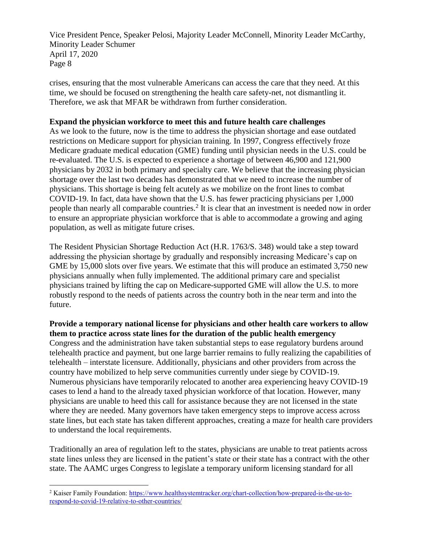crises, ensuring that the most vulnerable Americans can access the care that they need. At this time, we should be focused on strengthening the health care safety-net, not dismantling it. Therefore, we ask that MFAR be withdrawn from further consideration.

#### **Expand the physician workforce to meet this and future health care challenges**

As we look to the future, now is the time to address the physician shortage and ease outdated restrictions on Medicare support for physician training. In 1997, Congress effectively froze Medicare graduate medical education (GME) funding until physician needs in the U.S. could be re-evaluated. The U.S. is expected to experience a shortage of between 46,900 and 121,900 physicians by 2032 in both primary and specialty care. We believe that the increasing physician shortage over the last two decades has demonstrated that we need to increase the number of physicians. This shortage is being felt acutely as we mobilize on the front lines to combat COVID-19. In fact, data have shown that the U.S. has fewer practicing physicians per 1,000 people than nearly all comparable countries.<sup>2</sup> It is clear that an investment is needed now in order to ensure an appropriate physician workforce that is able to accommodate a growing and aging population, as well as mitigate future crises.

The Resident Physician Shortage Reduction Act (H.R. 1763/S. 348) would take a step toward addressing the physician shortage by gradually and responsibly increasing Medicare's cap on GME by 15,000 slots over five years. We estimate that this will produce an estimated 3,750 new physicians annually when fully implemented. The additional primary care and specialist physicians trained by lifting the cap on Medicare-supported GME will allow the U.S. to more robustly respond to the needs of patients across the country both in the near term and into the future.

**Provide a temporary national license for physicians and other health care workers to allow them to practice across state lines for the duration of the public health emergency** Congress and the administration have taken substantial steps to ease regulatory burdens around telehealth practice and payment, but one large barrier remains to fully realizing the capabilities of telehealth – interstate licensure. Additionally, physicians and other providers from across the country have mobilized to help serve communities currently under siege by COVID-19. Numerous physicians have temporarily relocated to another area experiencing heavy COVID-19 cases to lend a hand to the already taxed physician workforce of that location. However, many physicians are unable to heed this call for assistance because they are not licensed in the state where they are needed. Many governors have taken emergency steps to improve access across state lines, but each state has taken different approaches, creating a maze for health care providers to understand the local requirements.

Traditionally an area of regulation left to the states, physicians are unable to treat patients across state lines unless they are licensed in the patient's state or their state has a contract with the other state. The AAMC urges Congress to legislate a temporary uniform licensing standard for all

 $\overline{a}$ 

<sup>2</sup> Kaiser Family Foundation: [https://www.healthsystemtracker.org/chart-collection/how-prepared-is-the-us-to](https://www.healthsystemtracker.org/chart-collection/how-prepared-is-the-us-to-respond-to-covid-19-relative-to-other-countries/)[respond-to-covid-19-relative-to-other-countries/](https://www.healthsystemtracker.org/chart-collection/how-prepared-is-the-us-to-respond-to-covid-19-relative-to-other-countries/)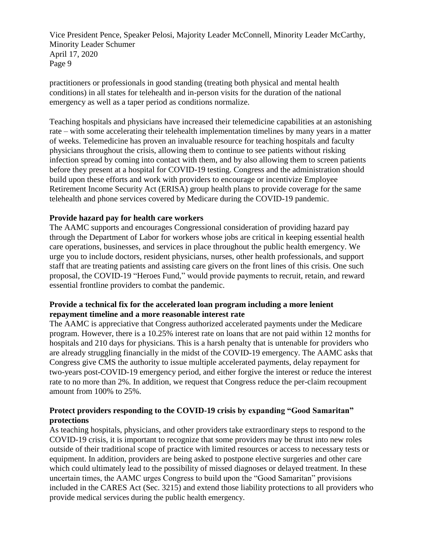practitioners or professionals in good standing (treating both physical and mental health conditions) in all states for telehealth and in-person visits for the duration of the national emergency as well as a taper period as conditions normalize.

Teaching hospitals and physicians have increased their telemedicine capabilities at an astonishing rate – with some accelerating their telehealth implementation timelines by many years in a matter of weeks. Telemedicine has proven an invaluable resource for teaching hospitals and faculty physicians throughout the crisis, allowing them to continue to see patients without risking infection spread by coming into contact with them, and by also allowing them to screen patients before they present at a hospital for COVID-19 testing. Congress and the administration should build upon these efforts and work with providers to encourage or incentivize Employee Retirement Income Security Act (ERISA) group health plans to provide coverage for the same telehealth and phone services covered by Medicare during the COVID-19 pandemic.

## **Provide hazard pay for health care workers**

The AAMC supports and encourages Congressional consideration of providing hazard pay through the Department of Labor for workers whose jobs are critical in keeping essential health care operations, businesses, and services in place throughout the public health emergency. We urge you to include doctors, resident physicians, nurses, other health professionals, and support staff that are treating patients and assisting care givers on the front lines of this crisis. One such proposal, the COVID-19 "Heroes Fund," would provide payments to recruit, retain, and reward essential frontline providers to combat the pandemic.

#### **Provide a technical fix for the accelerated loan program including a more lenient repayment timeline and a more reasonable interest rate**

The AAMC is appreciative that Congress authorized accelerated payments under the Medicare program. However, there is a 10.25% interest rate on loans that are not paid within 12 months for hospitals and 210 days for physicians. This is a harsh penalty that is untenable for providers who are already struggling financially in the midst of the COVID-19 emergency. The AAMC asks that Congress give CMS the authority to issue multiple accelerated payments, delay repayment for two-years post-COVID-19 emergency period, and either forgive the interest or reduce the interest rate to no more than 2%. In addition, we request that Congress reduce the per-claim recoupment amount from 100% to 25%.

## **Protect providers responding to the COVID-19 crisis by expanding "Good Samaritan" protections**

As teaching hospitals, physicians, and other providers take extraordinary steps to respond to the COVID-19 crisis, it is important to recognize that some providers may be thrust into new roles outside of their traditional scope of practice with limited resources or access to necessary tests or equipment. In addition, providers are being asked to postpone elective surgeries and other care which could ultimately lead to the possibility of missed diagnoses or delayed treatment. In these uncertain times, the AAMC urges Congress to build upon the "Good Samaritan" provisions included in the CARES Act (Sec. 3215) and extend those liability protections to all providers who provide medical services during the public health emergency.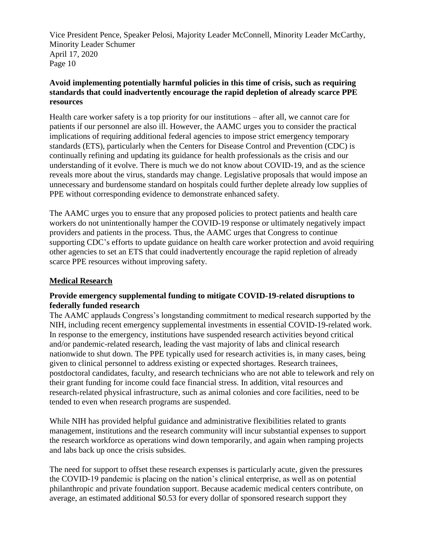## **Avoid implementing potentially harmful policies in this time of crisis, such as requiring standards that could inadvertently encourage the rapid depletion of already scarce PPE resources**

Health care worker safety is a top priority for our institutions – after all, we cannot care for patients if our personnel are also ill. However, the AAMC urges you to consider the practical implications of requiring additional federal agencies to impose strict emergency temporary standards (ETS), particularly when the Centers for Disease Control and Prevention (CDC) is continually refining and updating its guidance for health professionals as the crisis and our understanding of it evolve. There is much we do not know about COVID-19, and as the science reveals more about the virus, standards may change. Legislative proposals that would impose an unnecessary and burdensome standard on hospitals could further deplete already low supplies of PPE without corresponding evidence to demonstrate enhanced safety.

The AAMC urges you to ensure that any proposed policies to protect patients and health care workers do not unintentionally hamper the COVID-19 response or ultimately negatively impact providers and patients in the process. Thus, the AAMC urges that Congress to continue supporting CDC's efforts to update guidance on health care worker protection and avoid requiring other agencies to set an ETS that could inadvertently encourage the rapid repletion of already scarce PPE resources without improving safety.

## **Medical Research**

## **Provide emergency supplemental funding to mitigate COVID-19-related disruptions to federally funded research**

The AAMC applauds Congress's longstanding commitment to medical research supported by the NIH, including recent emergency supplemental investments in essential COVID-19-related work. In response to the emergency, institutions have suspended research activities beyond critical and/or pandemic-related research, leading the vast majority of labs and clinical research nationwide to shut down. The PPE typically used for research activities is, in many cases, being given to clinical personnel to address existing or expected shortages. Research trainees, postdoctoral candidates, faculty, and research technicians who are not able to telework and rely on their grant funding for income could face financial stress. In addition, vital resources and research-related physical infrastructure, such as animal colonies and core facilities, need to be tended to even when research programs are suspended.

While NIH has provided helpful guidance and administrative flexibilities related to grants management, institutions and the research community will incur substantial expenses to support the research workforce as operations wind down temporarily, and again when ramping projects and labs back up once the crisis subsides.

The need for support to offset these research expenses is particularly acute, given the pressures the COVID-19 pandemic is placing on the nation's clinical enterprise, as well as on potential philanthropic and private foundation support. Because academic medical centers contribute, on average, an estimated additional \$0.53 for every dollar of sponsored research support they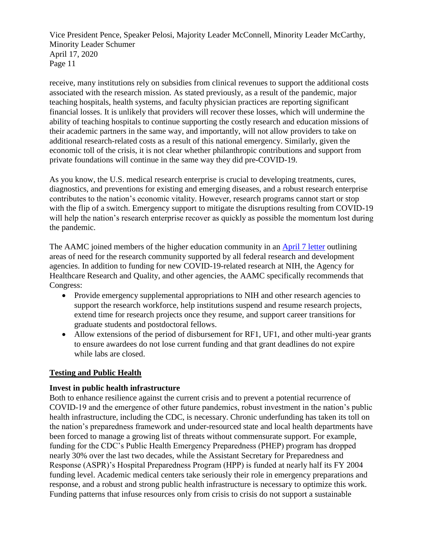receive, many institutions rely on subsidies from clinical revenues to support the additional costs associated with the research mission. As stated previously, as a result of the pandemic, major teaching hospitals, health systems, and faculty physician practices are reporting significant financial losses. It is unlikely that providers will recover these losses, which will undermine the ability of teaching hospitals to continue supporting the costly research and education missions of their academic partners in the same way, and importantly, will not allow providers to take on additional research-related costs as a result of this national emergency. Similarly, given the economic toll of the crisis, it is not clear whether philanthropic contributions and support from private foundations will continue in the same way they did pre-COVID-19.

As you know, the U.S. medical research enterprise is crucial to developing treatments, cures, diagnostics, and preventions for existing and emerging diseases, and a robust research enterprise contributes to the nation's economic vitality. However, research programs cannot start or stop with the flip of a switch. Emergency support to mitigate the disruptions resulting from COVID-19 will help the nation's research enterprise recover as quickly as possible the momentum lost during the pandemic.

The AAMC joined members of the higher education community in an [April 7 letter](https://www.aamc.org/system/files/2020-04/ocomm-ogr-AAU-AAMC-APLU-ACE%20COVID19%20Research%20Recommendations%204-7-204_0.pdf) outlining areas of need for the research community supported by all federal research and development agencies. In addition to funding for new COVID-19-related research at NIH, the Agency for Healthcare Research and Quality, and other agencies, the AAMC specifically recommends that Congress:

- Provide emergency supplemental appropriations to NIH and other research agencies to support the research workforce, help institutions suspend and resume research projects, extend time for research projects once they resume, and support career transitions for graduate students and postdoctoral fellows.
- Allow extensions of the period of disbursement for RF1, UF1, and other multi-year grants to ensure awardees do not lose current funding and that grant deadlines do not expire while labs are closed.

## **Testing and Public Health**

## **Invest in public health infrastructure**

Both to enhance resilience against the current crisis and to prevent a potential recurrence of COVID-19 and the emergence of other future pandemics, robust investment in the nation's public health infrastructure, including the CDC, is necessary. Chronic underfunding has taken its toll on the nation's preparedness framework and under-resourced state and local health departments have been forced to manage a growing list of threats without commensurate support. For example, funding for the CDC's Public Health Emergency Preparedness (PHEP) program has dropped nearly 30% over the last two decades, while the Assistant Secretary for Preparedness and Response (ASPR)'s Hospital Preparedness Program (HPP) is funded at nearly half its FY 2004 funding level. Academic medical centers take seriously their role in emergency preparations and response, and a robust and strong public health infrastructure is necessary to optimize this work. Funding patterns that infuse resources only from crisis to crisis do not support a sustainable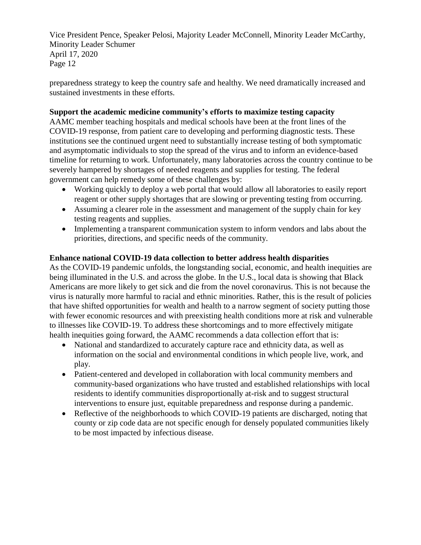preparedness strategy to keep the country safe and healthy. We need dramatically increased and sustained investments in these efforts.

#### **Support the academic medicine community's efforts to maximize testing capacity**

AAMC member teaching hospitals and medical schools have been at the front lines of the COVID-19 response, from patient care to developing and performing diagnostic tests. These institutions see the continued urgent need to substantially increase testing of both symptomatic and asymptomatic individuals to stop the spread of the virus and to inform an evidence-based timeline for returning to work. Unfortunately, many laboratories across the country continue to be severely hampered by shortages of needed reagents and supplies for testing. The federal government can help remedy some of these challenges by:

- Working quickly to deploy a web portal that would allow all laboratories to easily report reagent or other supply shortages that are slowing or preventing testing from occurring.
- Assuming a clearer role in the assessment and management of the supply chain for key testing reagents and supplies.
- Implementing a transparent communication system to inform vendors and labs about the priorities, directions, and specific needs of the community.

## **Enhance national COVID-19 data collection to better address health disparities**

As the COVID-19 pandemic unfolds, the longstanding social, economic, and health inequities are being illuminated in the U.S. and across the globe. In the U.S., local data is showing that Black Americans are more likely to get sick and die from the novel coronavirus. This is not because the virus is naturally more harmful to racial and ethnic minorities. Rather, this is the result of policies that have shifted opportunities for wealth and health to a narrow segment of society putting those with fewer economic resources and with preexisting health conditions more at risk and vulnerable to illnesses like COVID-19. To address these shortcomings and to more effectively mitigate health inequities going forward, the AAMC recommends a data collection effort that is:

- National and standardized to accurately capture race and ethnicity data, as well as information on the social and environmental conditions in which people live, work, and play.
- Patient-centered and developed in collaboration with local community members and community-based organizations who have trusted and established relationships with local residents to identify communities disproportionally at-risk and to suggest structural interventions to ensure just, equitable preparedness and response during a pandemic.
- Reflective of the neighborhoods to which COVID-19 patients are discharged, noting that county or zip code data are not specific enough for densely populated communities likely to be most impacted by infectious disease.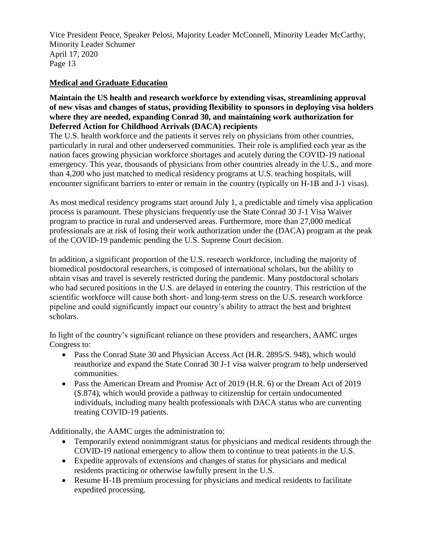# **Medical and Graduate Education**

#### **Maintain the US health and research workforce by extending visas, streamlining approval of new visas and changes of status, providing flexibility to sponsors in deploying visa holders where they are needed, expanding Conrad 30, and maintaining work authorization for Deferred Action for Childhood Arrivals (DACA) recipients**

The U.S. health workforce and the patients it serves rely on physicians from other countries, particularly in rural and other underserved communities. Their role is amplified each year as the nation faces growing physician workforce shortages and acutely during the COVID-19 national emergency. This year, thousands of physicians from other countries already in the U.S., and more than 4,200 who just matched to medical residency programs at U.S. teaching hospitals, will encounter significant barriers to enter or remain in the country (typically on H-1B and J-1 visas).

As most medical residency programs start around July 1, a predictable and timely visa application process is paramount. These physicians frequently use the State Conrad 30 J-1 Visa Waiver program to practice in rural and underserved areas. Furthermore, more than 27,000 medical professionals are at risk of losing their work authorization under the (DACA) program at the peak of the COVID-19 pandemic pending the U.S. Supreme Court decision.

In addition, a significant proportion of the U.S. research workforce, including the majority of biomedical postdoctoral researchers, is composed of international scholars, but the ability to obtain visas and travel is severely restricted during the pandemic. Many postdoctoral scholars who had secured positions in the U.S. are delayed in entering the country. This restriction of the scientific workforce will cause both short- and long-term stress on the U.S. research workforce pipeline and could significantly impact our country's ability to attract the best and brightest scholars.

In light of the country's significant reliance on these providers and researchers, AAMC urges Congress to:

- Pass the Conrad State 30 and Physician Access Act (H.R. 2895/S. 948), which would reauthorize and expand the State Conrad 30 J-1 visa waiver program to help underserved communities.
- Pass the American Dream and Promise Act of 2019 (H.R. 6) or the Dream Act of 2019 (S.874), which would provide a pathway to citizenship for certain undocumented individuals, including many health professionals with DACA status who are currenting treating COVID-19 patients.

Additionally, the AAMC urges the administration to:

- Temporarily extend nonimmigrant status for physicians and medical residents through the COVID-19 national emergency to allow them to continue to treat patients in the U.S.
- Expedite approvals of extensions and changes of status for physicians and medical residents practicing or otherwise lawfully present in the U.S.
- Resume H-1B premium processing for physicians and medical residents to facilitate expedited processing.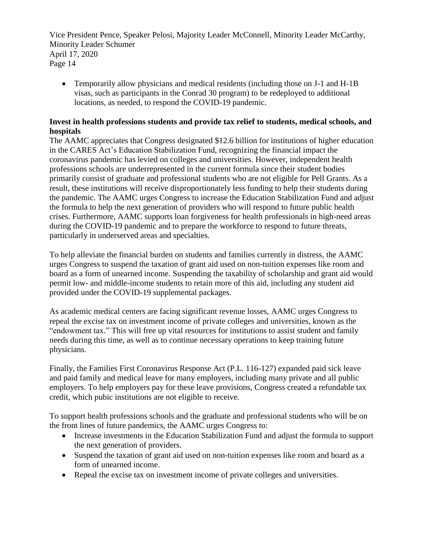• Temporarily allow physicians and medical residents (including those on J-1 and H-1B) visas, such as participants in the Conrad 30 program) to be redeployed to additional locations, as needed, to respond the COVID-19 pandemic.

## **Invest in health professions students and provide tax relief to students, medical schools, and hospitals**

The AAMC appreciates that Congress designated \$12.6 billion for institutions of higher education in the CARES Act's Education Stabilization Fund, recognizing the financial impact the coronavirus pandemic has levied on colleges and universities. However, independent health professions schools are underrepresented in the current formula since their student bodies primarily consist of graduate and professional students who are not eligible for Pell Grants. As a result, these institutions will receive disproportionately less funding to help their students during the pandemic. The AAMC urges Congress to increase the Education Stabilization Fund and adjust the formula to help the next generation of providers who will respond to future public health crises. Furthermore, AAMC supports loan forgiveness for health professionals in high-need areas during the COVID-19 pandemic and to prepare the workforce to respond to future threats, particularly in underserved areas and specialties.

To help alleviate the financial burden on students and families currently in distress, the AAMC urges Congress to suspend the taxation of grant aid used on non-tuition expenses like room and board as a form of unearned income. Suspending the taxability of scholarship and grant aid would permit low- and middle-income students to retain more of this aid, including any student aid provided under the COVID-19 supplemental packages.

As academic medical centers are facing significant revenue losses, AAMC urges Congress to repeal the excise tax on investment income of private colleges and universities, known as the "endowment tax." This will free up vital resources for institutions to assist student and family needs during this time, as well as to continue necessary operations to keep training future physicians.

Finally, the Families First Coronavirus Response Act (P.L. 116-127) expanded paid sick leave and paid family and medical leave for many employers, including many private and all public employers. To help employers pay for these leave provisions, Congress created a refundable tax credit, which pubic institutions are not eligible to receive.

To support health professions schools and the graduate and professional students who will be on the front lines of future pandemics, the AAMC urges Congress to:

- Increase investments in the Education Stabilization Fund and adjust the formula to support the next generation of providers.
- Suspend the taxation of grant aid used on non-tuition expenses like room and board as a form of unearned income.
- Repeal the excise tax on investment income of private colleges and universities.